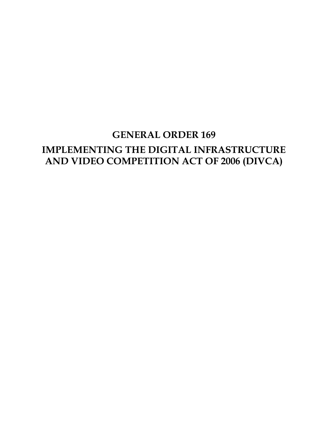# **GENERAL ORDER 169 IMPLEMENTING THE DIGITAL INFRASTRUCTURE AND VIDEO COMPETITION ACT OF 2006 (DIVCA)**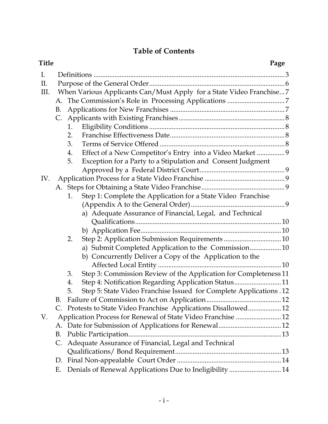# **Table of Contents**

| <b>Title</b> |    | Page                                                                     |  |
|--------------|----|--------------------------------------------------------------------------|--|
| Ι.           |    |                                                                          |  |
| II.          |    |                                                                          |  |
| III.         |    | When Various Applicants Can/Must Apply for a State Video Franchise 7     |  |
|              |    |                                                                          |  |
|              | B. |                                                                          |  |
|              |    |                                                                          |  |
|              |    | 1.                                                                       |  |
|              |    | 2.                                                                       |  |
|              |    | 3.                                                                       |  |
|              |    | Effect of a New Competitor's Entry into a Video Market  9<br>4.          |  |
|              |    | Exception for a Party to a Stipulation and Consent Judgment<br>5.        |  |
|              |    |                                                                          |  |
| IV.          |    |                                                                          |  |
|              |    |                                                                          |  |
|              |    | Step 1: Complete the Application for a State Video Franchise<br>1.       |  |
|              |    |                                                                          |  |
|              |    | a) Adequate Assurance of Financial, Legal, and Technical                 |  |
|              |    |                                                                          |  |
|              |    |                                                                          |  |
|              |    | 2.                                                                       |  |
|              |    | a) Submit Completed Application to the Commission10                      |  |
|              |    | b) Concurrently Deliver a Copy of the Application to the                 |  |
|              |    |                                                                          |  |
|              |    | Step 3: Commission Review of the Application for Completeness 11<br>3.   |  |
|              |    | Step 4: Notification Regarding Application Status11<br>4.                |  |
|              |    | Step 5: State Video Franchise Issued for Complete Applications .12<br>5. |  |
|              | B. |                                                                          |  |
|              | C. | Protests to State Video Franchise Applications Disallowed 12             |  |
| V.           |    | Application Process for Renewal of State Video Franchise  12             |  |
|              |    |                                                                          |  |
|              | B. |                                                                          |  |
|              | C. | Adequate Assurance of Financial, Legal and Technical                     |  |
|              |    |                                                                          |  |
|              | D. |                                                                          |  |
|              | Ε. | Denials of Renewal Applications Due to Ineligibility  14                 |  |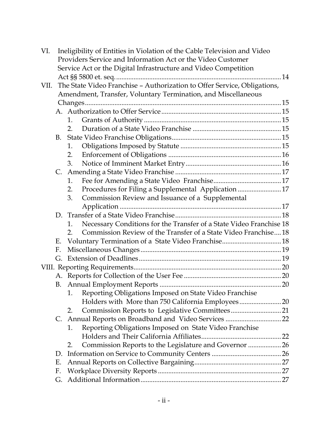| VI.  |                | Ineligibility of Entities in Violation of the Cable Television and Video  |  |
|------|----------------|---------------------------------------------------------------------------|--|
|      |                | Providers Service and Information Act or the Video Customer               |  |
|      |                | Service Act or the Digital Infrastructure and Video Competition           |  |
|      |                |                                                                           |  |
| VII. |                | The State Video Franchise - Authorization to Offer Service, Obligations,  |  |
|      |                | Amendment, Transfer, Voluntary Termination, and Miscellaneous             |  |
|      |                |                                                                           |  |
|      |                |                                                                           |  |
|      |                | 1.                                                                        |  |
|      |                | 2.                                                                        |  |
|      |                |                                                                           |  |
|      |                | 1.                                                                        |  |
|      |                | 2.                                                                        |  |
|      |                | 3.                                                                        |  |
|      | C.             |                                                                           |  |
|      |                | 1.                                                                        |  |
|      |                | Procedures for Filing a Supplemental Application  17<br>2.                |  |
|      |                | Commission Review and Issuance of a Supplemental<br>3.                    |  |
|      |                |                                                                           |  |
|      |                |                                                                           |  |
|      |                | Necessary Conditions for the Transfer of a State Video Franchise 18<br>1. |  |
|      |                | Commission Review of the Transfer of a State Video Franchise18<br>2.      |  |
|      | Е.             |                                                                           |  |
|      | F.             |                                                                           |  |
|      | G.             |                                                                           |  |
|      |                |                                                                           |  |
|      |                |                                                                           |  |
|      |                |                                                                           |  |
|      |                | Reporting Obligations Imposed on State Video Franchise<br>1.              |  |
|      |                |                                                                           |  |
|      |                | 2.                                                                        |  |
|      | $\mathsf{C}$ . | Annual Reports on Broadband and Video Services  22                        |  |
|      |                | Reporting Obligations Imposed on State Video Franchise<br>1.              |  |
|      |                |                                                                           |  |
|      |                | Commission Reports to the Legislature and Governor  26<br>2.              |  |
|      | D.             |                                                                           |  |
|      | Ε.             |                                                                           |  |
|      | F.             |                                                                           |  |
|      | G.             |                                                                           |  |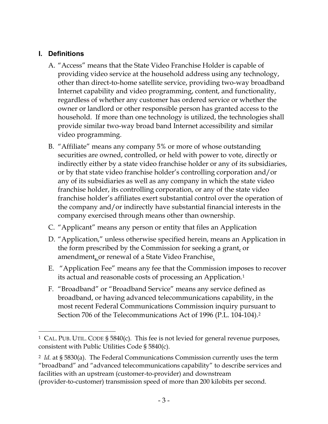# <span id="page-3-0"></span>**I. Definitions**

- A. "Access" means that the State Video Franchise Holder is capable of providing video service at the household address using any technology, other than direct-to-home satellite service, providing two-way broadband Internet capability and video programming, content, and functionality, regardless of whether any customer has ordered service or whether the owner or landlord or other responsible person has granted access to the household. If more than one technology is utilized, the technologies shall provide similar two-way broad band Internet accessibility and similar video programming.
- B. "Affiliate" means any company 5% or more of whose outstanding securities are owned, controlled, or held with power to vote, directly or indirectly either by a state video franchise holder or any of its subsidiaries, or by that state video franchise holder's controlling corporation and/or any of its subsidiaries as well as any company in which the state video franchise holder, its controlling corporation, or any of the state video franchise holder's affiliates exert substantial control over the operation of the company and/or indirectly have substantial financial interests in the company exercised through means other than ownership.
- C. "Applicant" means any person or entity that files an Application
- D. "Application," unless otherwise specified herein, means an Application in the form prescribed by the Commission for seeking a grant, or amendment<sub>L</sub> or renewal of a State Video Franchise.
- E. "Application Fee" means any fee that the Commission imposes to recover its actual and reasonable costs of processing an Application.<sup>1</sup>
- F. "Broadband" or "Broadband Service" means any service defined as broadband, or having advanced telecommunications capability, in the most recent Federal Communications Commission inquiry pursuant to Section 706 of the Telecommunications Act of 1996 (P.L. 104-104).<sup>2</sup>

<sup>1</sup> CAL. PUB. UTIL. CODE § 5840(c). This fee is not levied for general revenue purposes, consistent with Public Utilities Code § 5840(c).

<sup>2</sup> *Id.* at § 5830(a). The Federal Communications Commission currently uses the term "broadband" and "advanced telecommunications capability" to describe services and facilities with an upstream (customer-to-provider) and downstream (provider-to-customer) transmission speed of more than 200 kilobits per second.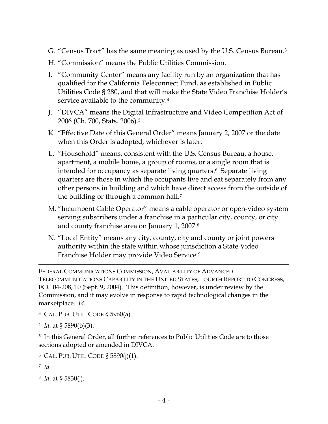- G. "Census Tract" has the same meaning as used by the U.S. Census Bureau.<sup>3</sup>
- H. "Commission" means the Public Utilities Commission.
- I. "Community Center" means any facility run by an organization that has qualified for the California Teleconnect Fund, as established in Public Utilities Code § 280, and that will make the State Video Franchise Holder's service available to the community.<sup>4</sup>
- J. "DIVCA" means the Digital Infrastructure and Video Competition Act of 2006 (Ch. 700, Stats. 2006).<sup>5</sup>
- K. "Effective Date of this General Order" means January 2, 2007 or the date when this Order is adopted, whichever is later.
- L. "Household" means, consistent with the U.S. Census Bureau, a house, apartment, a mobile home, a group of rooms, or a single room that is intended for occupancy as separate living quarters.6 Separate living quarters are those in which the occupants live and eat separately from any other persons in building and which have direct access from the outside of the building or through a common hall.<sup>7</sup>
- M. "Incumbent Cable Operator" means a cable operator or open-video system serving subscribers under a franchise in a particular city, county, or city and county franchise area on January 1, 2007.<sup>8</sup>
- N. "Local Entity" means any city, county, city and county or joint powers authority within the state within whose jurisdiction a State Video Franchise Holder may provide Video Service.<sup>9</sup>

FEDERAL COMMUNICATIONS COMMISSION, AVAILABILITY OF ADVANCED TELECOMMUNICATIONS CAPABILITY IN THE UNITED STATES, FOURTH REPORT TO CONGRESS, FCC 04-208, 10 (Sept. 9, 2004). This definition, however, is under review by the Commission, and it may evolve in response to rapid technological changes in the marketplace. *Id*.

- <sup>3</sup> CAL. PUB. UTIL. CODE § 5960(a).
- <sup>4</sup> *Id*. at § 5890(b)(3).

<sup>5</sup> In this General Order, all further references to Public Utilities Code are to those sections adopted or amended in DIVCA.

- $6$  CAL. PUB. UTIL. CODE § 5890(j)(1).
- <sup>7</sup> *Id*.

 $\overline{a}$ 

<sup>8</sup> *Id*. at § 5830(j).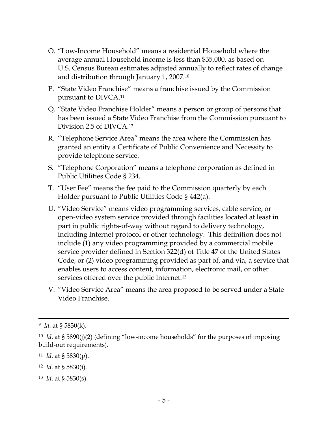- O. "Low-Income Household" means a residential Household where the average annual Household income is less than \$35,000, as based on U.S. Census Bureau estimates adjusted annually to reflect rates of change and distribution through January 1, 2007.<sup>10</sup>
- P. "State Video Franchise" means a franchise issued by the Commission pursuant to DIVCA. 11
- Q. "State Video Franchise Holder" means a person or group of persons that has been issued a State Video Franchise from the Commission pursuant to Division 2.5 of DIVCA.<sup>12</sup>
- R. "Telephone Service Area" means the area where the Commission has granted an entity a Certificate of Public Convenience and Necessity to provide telephone service.
- S. "Telephone Corporation" means a telephone corporation as defined in Public Utilities Code § 234.
- T. "User Fee" means the fee paid to the Commission quarterly by each Holder pursuant to Public Utilities Code § 442(a).
- U. "Video Service" means video programming services, cable service, or open-video system service provided through facilities located at least in part in public rights-of-way without regard to delivery technology, including Internet protocol or other technology. This definition does not include (1) any video programming provided by a commercial mobile service provider defined in Section 322(d) of Title 47 of the United States Code, or (2) video programming provided as part of, and via, a service that enables users to access content, information, electronic mail, or other services offered over the public Internet.<sup>13</sup>
- V. "Video Service Area" means the area proposed to be served under a State Video Franchise.

- <sup>11</sup> *Id*. at § 5830(p).
- <sup>12</sup> *Id*. at § 5830(i).
- <sup>13</sup> *Id*. at § 5830(s).

<sup>9</sup> *Id*. at § 5830(k).

<sup>&</sup>lt;sup>10</sup> *Id.* at § 5890(j)(2) (defining "low-income households" for the purposes of imposing build-out requirements).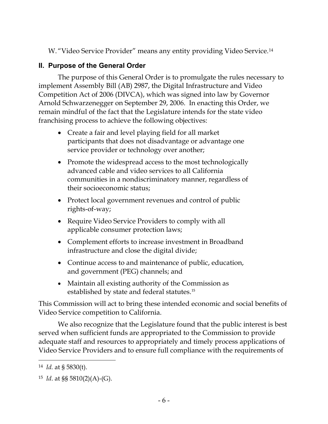W. "Video Service Provider" means any entity providing Video Service.<sup>14</sup>

# <span id="page-6-0"></span>**II. Purpose of the General Order**

The purpose of this General Order is to promulgate the rules necessary to implement Assembly Bill (AB) 2987, the Digital Infrastructure and Video Competition Act of 2006 (DIVCA), which was signed into law by Governor Arnold Schwarzenegger on September 29, 2006. In enacting this Order, we remain mindful of the fact that the Legislature intends for the state video franchising process to achieve the following objectives:

- Create a fair and level playing field for all market participants that does not disadvantage or advantage one service provider or technology over another;
- Promote the widespread access to the most technologically advanced cable and video services to all California communities in a nondiscriminatory manner, regardless of their socioeconomic status;
- Protect local government revenues and control of public rights-of-way;
- Require Video Service Providers to comply with all applicable consumer protection laws;
- Complement efforts to increase investment in Broadband infrastructure and close the digital divide;
- Continue access to and maintenance of public, education, and government (PEG) channels; and
- Maintain all existing authority of the Commission as established by state and federal statutes.<sup>15</sup>

This Commission will act to bring these intended economic and social benefits of Video Service competition to California.

We also recognize that the Legislature found that the public interest is best served when sufficient funds are appropriated to the Commission to provide adequate staff and resources to appropriately and timely process applications of Video Service Providers and to ensure full compliance with the requirements of

<sup>14</sup> *Id.* at § 5830(t).

<sup>15</sup> *Id*. at §§ 5810(2)(A)-(G).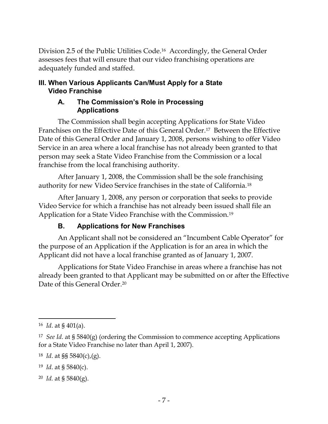Division 2.5 of the Public Utilities Code.16 Accordingly, the General Order assesses fees that will ensure that our video franchising operations are adequately funded and staffed.

#### <span id="page-7-1"></span><span id="page-7-0"></span>**III. When Various Applicants Can/Must Apply for a State Video Franchise**

#### **A. The Commission's Role in Processing Applications**

The Commission shall begin accepting Applications for State Video Franchises on the Effective Date of this General Order.17 Between the Effective Date of this General Order and January 1, 2008, persons wishing to offer Video Service in an area where a local franchise has not already been granted to that person may seek a State Video Franchise from the Commission or a local franchise from the local franchising authority.

After January 1, 2008, the Commission shall be the sole franchising authority for new Video Service franchises in the state of California.<sup>18</sup>

After January 1, 2008, any person or corporation that seeks to provide Video Service for which a franchise has not already been issued shall file an Application for a State Video Franchise with the Commission.<sup>19</sup>

# **B. Applications for New Franchises**

<span id="page-7-2"></span>An Applicant shall not be considered an "Incumbent Cable Operator" for the purpose of an Application if the Application is for an area in which the Applicant did not have a local franchise granted as of January 1, 2007.

Applications for State Video Franchise in areas where a franchise has not already been granted to that Applicant may be submitted on or after the Effective Date of this General Order.<sup>20</sup>

<sup>20</sup> *Id.* at § 5840(g).

 $\overline{\phantom{a}}$ <sup>16</sup> *Id*. at § 401(a).

<sup>17</sup> *See Id*. at § 5840(g) (ordering the Commission to commence accepting Applications for a State Video Franchise no later than April 1, 2007).

<sup>18</sup> *Id*. at §§ 5840(c),(g).

<sup>19</sup> *Id*. at § 5840(c).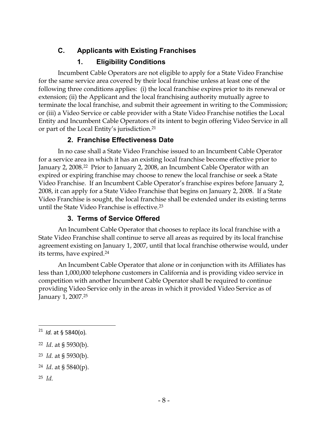# <span id="page-8-0"></span>**C. Applicants with Existing Franchises**

# **1. Eligibility Conditions**

<span id="page-8-1"></span>Incumbent Cable Operators are not eligible to apply for a State Video Franchise for the same service area covered by their local franchise unless at least one of the following three conditions applies: (i) the local franchise expires prior to its renewal or extension; (ii) the Applicant and the local franchising authority mutually agree to terminate the local franchise, and submit their agreement in writing to the Commission; or (iii) a Video Service or cable provider with a State Video Franchise notifies the Local Entity and Incumbent Cable Operators of its intent to begin offering Video Service in all or part of the Local Entity's jurisdiction.<sup>21</sup>

# **2. Franchise Effectiveness Date**

<span id="page-8-2"></span>In no case shall a State Video Franchise issued to an Incumbent Cable Operator for a service area in which it has an existing local franchise become effective prior to January 2, 2008.<sup>22</sup> Prior to January 2, 2008, an Incumbent Cable Operator with an expired or expiring franchise may choose to renew the local franchise or seek a State Video Franchise. If an Incumbent Cable Operator's franchise expires before January 2, 2008, it can apply for a State Video Franchise that begins on January 2, 2008. If a State Video Franchise is sought, the local franchise shall be extended under its existing terms until the State Video Franchise is effective.<sup>23</sup>

# **3. Terms of Service Offered**

<span id="page-8-3"></span>An Incumbent Cable Operator that chooses to replace its local franchise with a State Video Franchise shall continue to serve all areas as required by its local franchise agreement existing on January 1, 2007, until that local franchise otherwise would, under its terms, have expired.<sup>24</sup>

An Incumbent Cable Operator that alone or in conjunction with its Affiliates has less than 1,000,000 telephone customers in California and is providing video service in competition with another Incumbent Cable Operator shall be required to continue providing Video Service only in the areas in which it provided Video Service as of January 1, 2007.<sup>25</sup>

- <sup>22</sup> *Id*. at § 5930(b).
- <sup>23</sup> *Id.* at § 5930(b).
- <sup>24</sup> *Id*. at § 5840(p).
- <sup>25</sup> *Id.*

 $\overline{\phantom{a}}$ 21 *Id.* at § 5840(o)*.*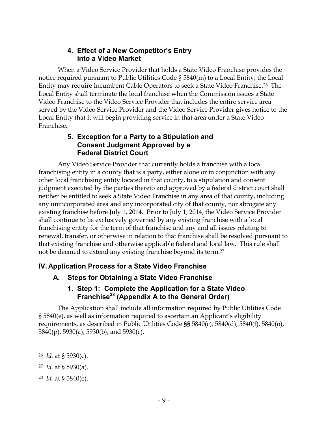## **4. Effect of a New Competitor's Entry into a Video Market**

<span id="page-9-0"></span>When a Video Service Provider that holds a State Video Franchise provides the notice required pursuant to Public Utilities Code § 5840(m) to a Local Entity, the Local Entity may require Incumbent Cable Operators to seek a State Video Franchise.26 The Local Entity shall terminate the local franchise when the Commission issues a State Video Franchise to the Video Service Provider that includes the entire service area served by the Video Service Provider and the Video Service Provider gives notice to the Local Entity that it will begin providing service in that area under a State Video Franchise.

#### **5. Exception for a Party to a Stipulation and Consent Judgment Approved by a Federal District Court**

<span id="page-9-1"></span>Any Video Service Provider that currently holds a franchise with a local franchising entity in a county that is a party, either alone or in conjunction with any other local franchising entity located in that county, to a stipulation and consent judgment executed by the parties thereto and approved by a federal district court shall neither be entitled to seek a State Video Franchise in any area of that county, including any unincorporated area and any incorporated city of that county, nor abrogate any existing franchise before July 1, 2014. Prior to July 1, 2014, the Video Service Provider shall continue to be exclusively governed by any existing franchise with a local franchising entity for the term of that franchise and any and all issues relating to renewal, transfer, or otherwise in relation to that franchise shall be resolved pursuant to that existing franchise and otherwise applicable federal and local law. This rule shall not be deemed to extend any existing franchise beyond its term.<sup>27</sup>

# <span id="page-9-3"></span><span id="page-9-2"></span>**IV. Application Process for a State Video Franchise**

# **A. Steps for Obtaining a State Video Franchise**

## **1. Step 1: Complete the Application for a State Video Franchise<sup>28</sup> (Appendix A to the General Order)**

<span id="page-9-4"></span>The Application shall include all information required by Public Utilities Code § 5840(e), as well as information required to ascertain an Applicant's eligibility requirements, as described in Public Utilities Code §§ 5840(c), 5840(d), 5840(f), 5840(o), 5840(p), 5930(a), 5930(b), and 5930(c).

<sup>26</sup> *Id.* at § 5930(c).

<sup>27</sup> *Id.* at § 5930(a).

<sup>28</sup> *Id.* at § 5840(e).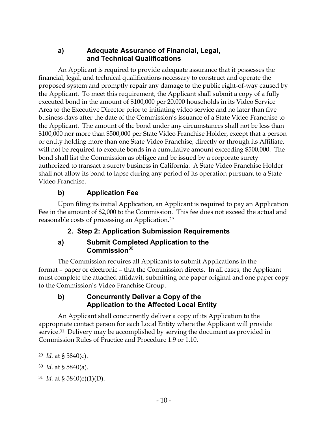#### **a) Adequate Assurance of Financial, Legal, and Technical Qualifications**

<span id="page-10-0"></span>An Applicant is required to provide adequate assurance that it possesses the financial, legal, and technical qualifications necessary to construct and operate the proposed system and promptly repair any damage to the public right-of-way caused by the Applicant. To meet this requirement, the Applicant shall submit a copy of a fully executed bond in the amount of \$100,000 per 20,000 households in its Video Service Area to the Executive Director prior to initiating video service and no later than five business days after the date of the Commission's issuance of a State Video Franchise to the Applicant. The amount of the bond under any circumstances shall not be less than \$100,000 nor more than \$500,000 per State Video Franchise Holder, except that a person or entity holding more than one State Video Franchise, directly or through its Affiliate, will not be required to execute bonds in a cumulative amount exceeding \$500,000. The bond shall list the Commission as obligee and be issued by a corporate surety authorized to transact a surety business in California. A State Video Franchise Holder shall not allow its bond to lapse during any period of its operation pursuant to a State Video Franchise.

# **b) Application Fee**

<span id="page-10-2"></span><span id="page-10-1"></span>Upon filing its initial Application, an Applicant is required to pay an Application Fee in the amount of \$2,000 to the Commission. This fee does not exceed the actual and reasonable costs of processing an Application.<sup>29</sup>

## **2. Step 2: Application Submission Requirements**

## **a) Submit Completed Application to the Commission**<sup>30</sup>

<span id="page-10-3"></span>The Commission requires all Applicants to submit Applications in the format – paper or electronic – that the Commission directs. In all cases, the Applicant must complete the attached affidavit, submitting one paper original and one paper copy to the Commission's Video Franchise Group.

## <span id="page-10-4"></span>**b) Concurrently Deliver a Copy of the Application to the Affected Local Entity**

An Applicant shall concurrently deliver a copy of its Application to the appropriate contact person for each Local Entity where the Applicant will provide service.31 Delivery may be accomplished by serving the document as provided in Commission Rules of Practice and Procedure 1.9 or 1.10.

<sup>29</sup> *Id.* at § 5840(c).

<sup>30</sup> *Id*. at § 5840(a).

<sup>31</sup> *Id.* at § 5840(e)(1)(D).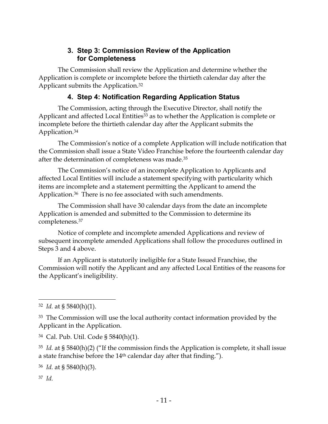#### **3. Step 3: Commission Review of the Application for Completeness**

<span id="page-11-0"></span>The Commission shall review the Application and determine whether the Application is complete or incomplete before the thirtieth calendar day after the Applicant submits the Application.<sup>32</sup>

## **4. Step 4: Notification Regarding Application Status**

<span id="page-11-1"></span>The Commission, acting through the Executive Director, shall notify the Applicant and affected Local Entities<sup>33</sup> as to whether the Application is complete or incomplete before the thirtieth calendar day after the Applicant submits the Application.<sup>34</sup>

The Commission's notice of a complete Application will include notification that the Commission shall issue a State Video Franchise before the fourteenth calendar day after the determination of completeness was made.<sup>35</sup>

The Commission's notice of an incomplete Application to Applicants and affected Local Entities will include a statement specifying with particularity which items are incomplete and a statement permitting the Applicant to amend the Application.<sup>36</sup> There is no fee associated with such amendments.

The Commission shall have 30 calendar days from the date an incomplete Application is amended and submitted to the Commission to determine its completeness.<sup>37</sup>

Notice of complete and incomplete amended Applications and review of subsequent incomplete amended Applications shall follow the procedures outlined in Steps 3 and 4 above.

If an Applicant is statutorily ineligible for a State Issued Franchise, the Commission will notify the Applicant and any affected Local Entities of the reasons for the Applicant's ineligibility.

<sup>36</sup> *Id.* at § 5840(h)(3).

37 *Id.*

 $\overline{a}$ 

<sup>32</sup> *Id.* at § 5840(h)(1).

<sup>&</sup>lt;sup>33</sup> The Commission will use the local authority contact information provided by the Applicant in the Application.

<sup>34</sup> Cal. Pub. Util. Code § 5840(h)(1).

<sup>35</sup> *Id.* at § 5840(h)(2) ("If the commission finds the Application is complete, it shall issue a state franchise before the 14th calendar day after that finding.").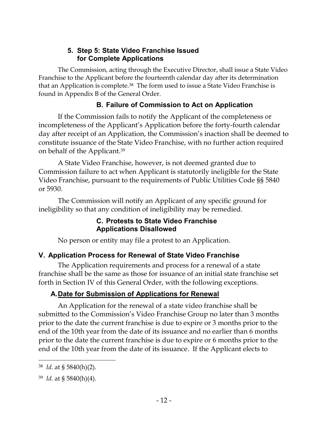## **5. Step 5: State Video Franchise Issued for Complete Applications**

<span id="page-12-0"></span>The Commission, acting through the Executive Director, shall issue a State Video Franchise to the Applicant before the fourteenth calendar day after its determination that an Application is complete.38 The form used to issue a State Video Franchise is found in Appendix B of the General Order.

# **B. Failure of Commission to Act on Application**

<span id="page-12-1"></span>If the Commission fails to notify the Applicant of the completeness or incompleteness of the Applicant's Application before the forty-fourth calendar day after receipt of an Application, the Commission's inaction shall be deemed to constitute issuance of the State Video Franchise, with no further action required on behalf of the Applicant.<sup>39</sup>

A State Video Franchise, however, is not deemed granted due to Commission failure to act when Applicant is statutorily ineligible for the State Video Franchise, pursuant to the requirements of Public Utilities Code §§ 5840 or 5930.

<span id="page-12-2"></span>The Commission will notify an Applicant of any specific ground for ineligibility so that any condition of ineligibility may be remedied.

## **C. Protests to State Video Franchise Applications Disallowed**

No person or entity may file a protest to an Application.

# <span id="page-12-3"></span>**V. Application Process for Renewal of State Video Franchise**

The Application requirements and process for a renewal of a state franchise shall be the same as those for issuance of an initial state franchise set forth in Section IV of this General Order, with the following exceptions.

# <span id="page-12-4"></span>**A.Date for Submission of Applications for Renewal**

An Application for the renewal of a state video franchise shall be submitted to the Commission's Video Franchise Group no later than 3 months prior to the date the current franchise is due to expire or 3 months prior to the end of the 10th year from the date of its issuance and no earlier than 6 months prior to the date the current franchise is due to expire or 6 months prior to the end of the 10th year from the date of its issuance. If the Applicant elects to

<sup>38</sup> *Id.* at § 5840(h)(2).

<sup>39</sup> *Id.* at § 5840(h)(4).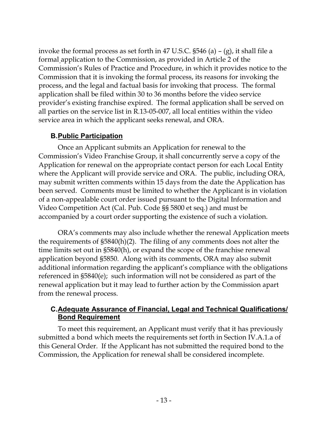invoke the formal process as set forth in 47 U.S.C. §546 (a) – (g), it shall file a formal application to the Commission, as provided in Article 2 of the Commission's Rules of Practice and Procedure, in which it provides notice to the Commission that it is invoking the formal process, its reasons for invoking the process, and the legal and factual basis for invoking that process. The formal application shall be filed within 30 to 36 months before the video service provider's existing franchise expired. The formal application shall be served on all parties on the service list in R.13-05-007, all local entities within the video service area in which the applicant seeks renewal, and ORA.

## **B.Public Participation**

<span id="page-13-0"></span>Once an Applicant submits an Application for renewal to the Commission's Video Franchise Group, it shall concurrently serve a copy of the Application for renewal on the appropriate contact person for each Local Entity where the Applicant will provide service and ORA. The public, including ORA, may submit written comments within 15 days from the date the Application has been served. Comments must be limited to whether the Applicant is in violation of a non-appealable court order issued pursuant to the Digital Information and Video Competition Act (Cal. Pub. Code §§ 5800 et seq.) and must be accompanied by a court order supporting the existence of such a violation.

ORA's comments may also include whether the renewal Application meets the requirements of §5840(h)(2). The filing of any comments does not alter the time limits set out in §5840(h), or expand the scope of the franchise renewal application beyond §5850. Along with its comments, ORA may also submit additional information regarding the applicant's compliance with the obligations referenced in §5840(e); such information will not be considered as part of the renewal application but it may lead to further action by the Commission apart from the renewal process.

## <span id="page-13-1"></span>**C.Adequate Assurance of Financial, Legal and Technical Qualifications/ Bond Requirement**

To meet this requirement, an Applicant must verify that it has previously submitted a bond which meets the requirements set forth in Section IV.A.1.a of this General Order. If the Applicant has not submitted the required bond to the Commission, the Application for renewal shall be considered incomplete.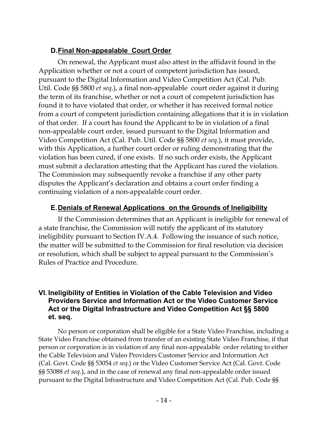# **D.Final Non-appealable Court Order**

<span id="page-14-0"></span>On renewal, the Applicant must also attest in the affidavit found in the Application whether or not a court of competent jurisdiction has issued, pursuant to the Digital Information and Video Competition Act (Cal. Pub. Util. Code §§ 5800 *et seq*.), a final non-appealable court order against it during the term of its franchise, whether or not a court of competent jurisdiction has found it to have violated that order, or whether it has received formal notice from a court of competent jurisdiction containing allegations that it is in violation of that order. If a court has found the Applicant to be in violation of a final non-appealable court order, issued pursuant to the Digital Information and Video Competition Act (Cal. Pub. Util. Code §§ 5800 *et seq*.), it must provide, with this Application, a further court order or ruling demonstrating that the violation has been cured, if one exists. If no such order exists, the Applicant must submit a declaration attesting that the Applicant has cured the violation. The Commission may subsequently revoke a franchise if any other party disputes the Applicant's declaration and obtains a court order finding a continuing violation of a non-appealable court order.

## **E.Denials of Renewal Applications on the Grounds of Ineligibility**

<span id="page-14-1"></span>If the Commission determines that an Applicant is ineligible for renewal of a state franchise, the Commission will notify the applicant of its statutory ineligibility pursuant to Section IV.A.4. Following the issuance of such notice, the matter will be submitted to the Commission for final resolution via decision or resolution, which shall be subject to appeal pursuant to the Commission's Rules of Practice and Procedure.

#### <span id="page-14-2"></span>**VI. Ineligibility of Entities in Violation of the Cable Television and Video Providers Service and Information Act or the Video Customer Service Act or the Digital Infrastructure and Video Competition Act §§ 5800 et. seq.**

No person or corporation shall be eligible for a State Video Franchise, including a State Video Franchise obtained from transfer of an existing State Video Franchise, if that person or corporation is in violation of any final non-appealable order relating to either the Cable Television and Video Providers Customer Service and Information Act (Cal. Govt. Code §§ 53054 *et seq*.) or the Video Customer Service Act (Cal. Govt. Code §§ 53088 *et seq*.), and in the case of renewal any final non-appealable order issued pursuant to the Digital Infrastructure and Video Competition Act (Cal. Pub. Code §§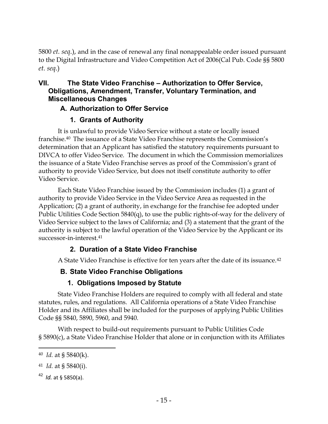5800 *et. seq*.), and in the case of renewal any final nonappealable order issued pursuant to the Digital Infrastructure and Video Competition Act of 2006(Cal Pub. Code §§ 5800 *et. seq*.)

## <span id="page-15-0"></span>**VII. The State Video Franchise – Authorization to Offer Service, Obligations, Amendment, Transfer, Voluntary Termination, and Miscellaneous Changes**

## **A. Authorization to Offer Service**

## **1. Grants of Authority**

<span id="page-15-2"></span><span id="page-15-1"></span>It is unlawful to provide Video Service without a state or locally issued franchise.<sup>40</sup> The issuance of a State Video Franchise represents the Commission's determination that an Applicant has satisfied the statutory requirements pursuant to DIVCA to offer Video Service. The document in which the Commission memorializes the issuance of a State Video Franchise serves as proof of the Commission's grant of authority to provide Video Service, but does not itself constitute authority to offer Video Service.

Each State Video Franchise issued by the Commission includes (1) a grant of authority to provide Video Service in the Video Service Area as requested in the Application; (2) a grant of authority, in exchange for the franchise fee adopted under Public Utilities Code Section 5840(q), to use the public rights-of-way for the delivery of Video Service subject to the laws of California; and (3) a statement that the grant of the authority is subject to the lawful operation of the Video Service by the Applicant or its successor-in-interest.<sup>41</sup>

## **2. Duration of a State Video Franchise**

<span id="page-15-3"></span>A State Video Franchise is effective for ten years after the date of its issuance.<sup>42</sup>

# **B. State Video Franchise Obligations**

# **1. Obligations Imposed by Statute**

<span id="page-15-5"></span><span id="page-15-4"></span>State Video Franchise Holders are required to comply with all federal and state statutes, rules, and regulations. All California operations of a State Video Franchise Holder and its Affiliates shall be included for the purposes of applying Public Utilities Code §§ 5840, 5890, 5960, and 5940.

With respect to build-out requirements pursuant to Public Utilities Code § 5890(c), a State Video Franchise Holder that alone or in conjunction with its Affiliates

<sup>40</sup> *Id.* at § 5840(k).

<sup>41</sup> *Id.* at § 5840(i).

<sup>42</sup> *Id.* at § 5850(a).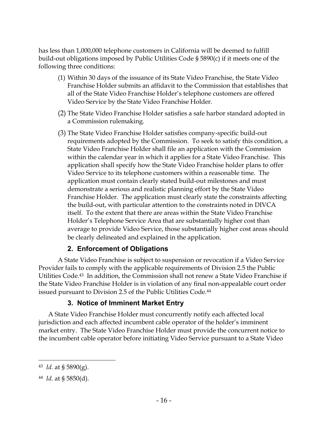has less than 1,000,000 telephone customers in California will be deemed to fulfill build-out obligations imposed by Public Utilities Code § 5890(c) if it meets one of the following three conditions:

- (1) Within 30 days of the issuance of its State Video Franchise, the State Video Franchise Holder submits an affidavit to the Commission that establishes that all of the State Video Franchise Holder's telephone customers are offered Video Service by the State Video Franchise Holder.
- (2) The State Video Franchise Holder satisfies a safe harbor standard adopted in a Commission rulemaking.
- (3) The State Video Franchise Holder satisfies company-specific build-out requirements adopted by the Commission. To seek to satisfy this condition, a State Video Franchise Holder shall file an application with the Commission within the calendar year in which it applies for a State Video Franchise. This application shall specify how the State Video Franchise holder plans to offer Video Service to its telephone customers within a reasonable time. The application must contain clearly stated build-out milestones and must demonstrate a serious and realistic planning effort by the State Video Franchise Holder. The application must clearly state the constraints affecting the build-out, with particular attention to the constraints noted in DIVCA itself. To the extent that there are areas within the State Video Franchise Holder's Telephone Service Area that are substantially higher cost than average to provide Video Service, those substantially higher cost areas should be clearly delineated and explained in the application.

#### **2. Enforcement of Obligations**

<span id="page-16-0"></span>A State Video Franchise is subject to suspension or revocation if a Video Service Provider fails to comply with the applicable requirements of Division 2.5 the Public Utilities Code.43 In addition, the Commission shall not renew a State Video Franchise if the State Video Franchise Holder is in violation of any final non-appealable court order issued pursuant to Division 2.5 of the Public Utilities Code.<sup>44</sup>

#### **3. Notice of Imminent Market Entry**

<span id="page-16-1"></span>A State Video Franchise Holder must concurrently notify each affected local jurisdiction and each affected incumbent cable operator of the holder's imminent market entry. The State Video Franchise Holder must provide the concurrent notice to the incumbent cable operator before initiating Video Service pursuant to a State Video

<sup>43</sup> *Id.* at § 5890(g).

<sup>44</sup> *Id.* at § 5850(d).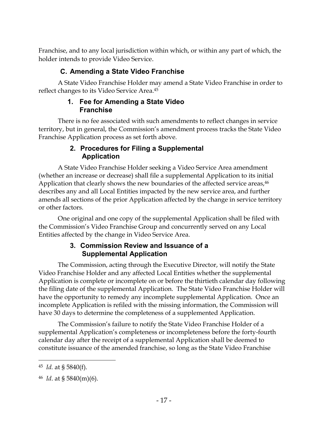Franchise, and to any local jurisdiction within which, or within any part of which, the holder intends to provide Video Service.

## **C. Amending a State Video Franchise**

<span id="page-17-1"></span><span id="page-17-0"></span>A State Video Franchise Holder may amend a State Video Franchise in order to reflect changes to its Video Service Area.<sup>45</sup>

#### **1. Fee for Amending a State Video Franchise**

There is no fee associated with such amendments to reflect changes in service territory, but in general, the Commission's amendment process tracks the State Video Franchise Application process as set forth above.

## **2. Procedures for Filing a Supplemental Application**

<span id="page-17-2"></span>A State Video Franchise Holder seeking a Video Service Area amendment (whether an increase or decrease) shall file a supplemental Application to its initial Application that clearly shows the new boundaries of the affected service areas,<sup>46</sup> describes any and all Local Entities impacted by the new service area, and further amends all sections of the prior Application affected by the change in service territory or other factors.

One original and one copy of the supplemental Application shall be filed with the Commission's Video Franchise Group and concurrently served on any Local Entities affected by the change in Video Service Area.

#### **3. Commission Review and Issuance of a Supplemental Application**

<span id="page-17-3"></span>The Commission, acting through the Executive Director, will notify the State Video Franchise Holder and any affected Local Entities whether the supplemental Application is complete or incomplete on or before the thirtieth calendar day following the filing date of the supplemental Application. The State Video Franchise Holder will have the opportunity to remedy any incomplete supplemental Application. Once an incomplete Application is refiled with the missing information, the Commission will have 30 days to determine the completeness of a supplemented Application.

The Commission's failure to notify the State Video Franchise Holder of a supplemental Application's completeness or incompleteness before the forty-fourth calendar day after the receipt of a supplemental Application shall be deemed to constitute issuance of the amended franchise, so long as the State Video Franchise

<sup>45</sup> *Id.* at § 5840(f).

<sup>46</sup> *Id*. at § 5840(m)(6).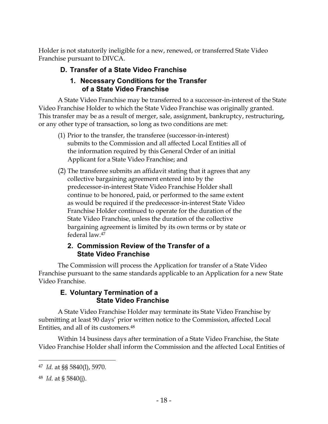<span id="page-18-0"></span>Holder is not statutorily ineligible for a new, renewed, or transferred State Video Franchise pursuant to DIVCA.

## **D. Transfer of a State Video Franchise**

#### **1. Necessary Conditions for the Transfer of a State Video Franchise**

<span id="page-18-1"></span>A State Video Franchise may be transferred to a successor-in-interest of the State Video Franchise Holder to which the State Video Franchise was originally granted. This transfer may be as a result of merger, sale, assignment, bankruptcy, restructuring, or any other type of transaction, so long as two conditions are met:

- (1) Prior to the transfer, the transferee (successor-in-interest) submits to the Commission and all affected Local Entities all of the information required by this General Order of an initial Applicant for a State Video Franchise; and
- (2) The transferee submits an affidavit stating that it agrees that any collective bargaining agreement entered into by the predecessor-in-interest State Video Franchise Holder shall continue to be honored, paid, or performed to the same extent as would be required if the predecessor-in-interest State Video Franchise Holder continued to operate for the duration of the State Video Franchise, unless the duration of the collective bargaining agreement is limited by its own terms or by state or federal law.<sup>47</sup>

#### **2. Commission Review of the Transfer of a State Video Franchise**

<span id="page-18-2"></span>The Commission will process the Application for transfer of a State Video Franchise pursuant to the same standards applicable to an Application for a new State Video Franchise.

#### **E. Voluntary Termination of a State Video Franchise**

<span id="page-18-3"></span>A State Video Franchise Holder may terminate its State Video Franchise by submitting at least 90 days' prior written notice to the Commission, affected Local Entities, and all of its customers.<sup>48</sup>

Within 14 business days after termination of a State Video Franchise, the State Video Franchise Holder shall inform the Commission and the affected Local Entities of

<sup>47</sup> *Id.* at §§ 5840(l), 5970.

<sup>48</sup> *Id.* at § 5840(j).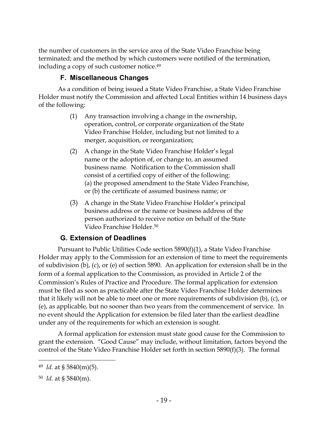the number of customers in the service area of the State Video Franchise being terminated; and the method by which customers were notified of the termination, including a copy of such customer notice.<sup>49</sup>

## **F. Miscellaneous Changes**

<span id="page-19-0"></span>As a condition of being issued a State Video Franchise, a State Video Franchise Holder must notify the Commission and affected Local Entities within 14 business days of the following:

- (1) Any transaction involving a change in the ownership, operation, control, or corporate organization of the State Video Franchise Holder, including but not limited to a merger, acquisition, or reorganization;
- (2) A change in the State Video Franchise Holder's legal name or the adoption of, or change to, an assumed business name. Notification to the Commission shall consist of a certified copy of either of the following: (a) the proposed amendment to the State Video Franchise, or (b) the certificate of assumed business name; or
- (3) A change in the State Video Franchise Holder's principal business address or the name or business address of the person authorized to receive notice on behalf of the State Video Franchise Holder.<sup>50</sup>

## **G. Extension of Deadlines**

<span id="page-19-1"></span>Pursuant to Public Utilities Code section 5890(f)(1), a State Video Franchise Holder may apply to the Commission for an extension of time to meet the requirements of subdivision (b), (c), or (e) of section 5890. An application for extension shall be in the form of a formal application to the Commission, as provided in Article 2 of the Commission's Rules of Practice and Procedure. The formal application for extension must be filed as soon as practicable after the State Video Franchise Holder determines that it likely will not be able to meet one or more requirements of subdivision (b), (c), or (e), as applicable, but no sooner than two years from the commencement of service. In no event should the Application for extension be filed later than the earliest deadline under any of the requirements for which an extension is sought.

A formal application for extension must state good cause for the Commission to grant the extension. "Good Cause" may include, without limitation, factors beyond the control of the State Video Franchise Holder set forth in section 5890(f)(3). The formal

<sup>49</sup> *Id.* at § 5840(m)(5).

<sup>50</sup> *Id.* at § 5840(m).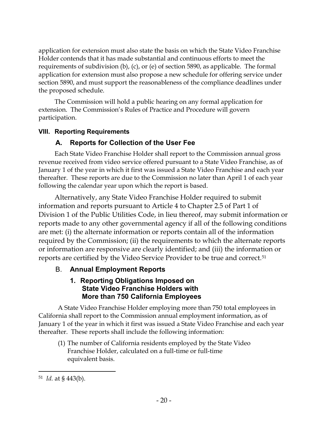application for extension must also state the basis on which the State Video Franchise Holder contends that it has made substantial and continuous efforts to meet the requirements of subdivision (b), (c), or (e) of section 5890, as applicable. The formal application for extension must also propose a new schedule for offering service under section 5890, and must support the reasonableness of the compliance deadlines under the proposed schedule.

The Commission will hold a public hearing on any formal application for extension. The Commission's Rules of Practice and Procedure will govern participation.

#### <span id="page-20-1"></span><span id="page-20-0"></span>**VIII. Reporting Requirements**

## **A. Reports for Collection of the User Fee**

Each State Video Franchise Holder shall report to the Commission annual gross revenue received from video service offered pursuant to a State Video Franchise, as of January 1 of the year in which it first was issued a State Video Franchise and each year thereafter. These reports are due to the Commission no later than April 1 of each year following the calendar year upon which the report is based.

Alternatively, any State Video Franchise Holder required to submit information and reports pursuant to Article 4 to Chapter 2.5 of Part 1 of Division 1 of the Public Utilities Code, in lieu thereof, may submit information or reports made to any other governmental agency if all of the following conditions are met: (i) the alternate information or reports contain all of the information required by the Commission; (ii) the requirements to which the alternate reports or information are responsive are clearly identified; and (iii) the information or reports are certified by the Video Service Provider to be true and correct.<sup>51</sup>

## <span id="page-20-3"></span><span id="page-20-2"></span>B. **Annual Employment Reports**

## **1. Reporting Obligations Imposed on State Video Franchise Holders with More than 750 California Employees**

A State Video Franchise Holder employing more than 750 total employees in California shall report to the Commission annual employment information, as of January 1 of the year in which it first was issued a State Video Franchise and each year thereafter. These reports shall include the following information:

(1) The number of California residents employed by the State Video Franchise Holder, calculated on a full-time or full-time equivalent basis.

<sup>51</sup> *Id.* at § 443(b).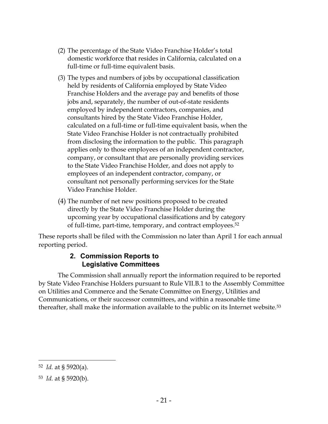- (2) The percentage of the State Video Franchise Holder's total domestic workforce that resides in California, calculated on a full-time or full-time equivalent basis.
- (3) The types and numbers of jobs by occupational classification held by residents of California employed by State Video Franchise Holders and the average pay and benefits of those jobs and, separately, the number of out-of-state residents employed by independent contractors, companies, and consultants hired by the State Video Franchise Holder, calculated on a full-time or full-time equivalent basis, when the State Video Franchise Holder is not contractually prohibited from disclosing the information to the public. This paragraph applies only to those employees of an independent contractor, company, or consultant that are personally providing services to the State Video Franchise Holder, and does not apply to employees of an independent contractor, company, or consultant not personally performing services for the State Video Franchise Holder.
- (4) The number of net new positions proposed to be created directly by the State Video Franchise Holder during the upcoming year by occupational classifications and by category of full-time, part-time, temporary, and contract employees.<sup>52</sup>

<span id="page-21-0"></span>These reports shall be filed with the Commission no later than April 1 for each annual reporting period.

#### **2. Commission Reports to Legislative Committees**

The Commission shall annually report the information required to be reported by State Video Franchise Holders pursuant to Rule VII.B.1 to the Assembly Committee on Utilities and Commerce and the Senate Committee on Energy, Utilities and Communications, or their successor committees, and within a reasonable time thereafter, shall make the information available to the public on its Internet website.<sup>53</sup>

<sup>52</sup> *Id.* at § 5920(a).

<sup>53</sup> *Id.* at § 5920(b).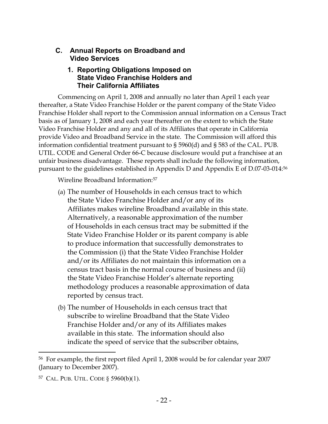#### <span id="page-22-1"></span><span id="page-22-0"></span>**C. Annual Reports on Broadband and Video Services**

#### **1. Reporting Obligations Imposed on State Video Franchise Holders and Their California Affiliates**

Commencing on April 1, 2008 and annually no later than April 1 each year thereafter, a State Video Franchise Holder or the parent company of the State Video Franchise Holder shall report to the Commission annual information on a Census Tract basis as of January 1, 2008 and each year thereafter on the extent to which the State Video Franchise Holder and any and all of its Affiliates that operate in California provide Video and Broadband Service in the state. The Commission will afford this information confidential treatment pursuant to § 5960(d) and § 583 of the CAL. PUB. UTIL. CODE and General Order 66-C because disclosure would put a franchisee at an unfair business disadvantage. These reports shall include the following information, pursuant to the guidelines established in Appendix D and Appendix E of D.07-03-014:<sup>56</sup>

Wireline Broadband Information:<sup>57</sup>

- (a) The number of Households in each census tract to which the State Video Franchise Holder and/or any of its Affiliates makes wireline Broadband available in this state. Alternatively, a reasonable approximation of the number of Households in each census tract may be submitted if the State Video Franchise Holder or its parent company is able to produce information that successfully demonstrates to the Commission (i) that the State Video Franchise Holder and/or its Affiliates do not maintain this information on a census tract basis in the normal course of business and (ii) the State Video Franchise Holder's alternate reporting methodology produces a reasonable approximation of data reported by census tract.
- (b) The number of Households in each census tract that subscribe to wireline Broadband that the State Video Franchise Holder and/or any of its Affiliates makes available in this state. The information should also indicate the speed of service that the subscriber obtains,

<sup>56</sup> For example, the first report filed April 1, 2008 would be for calendar year 2007 (January to December 2007).

<sup>57</sup> CAL. PUB. UTIL. CODE § 5960(b)(1).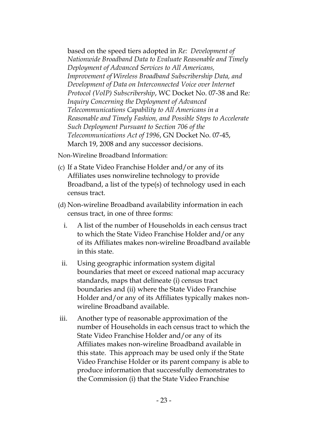based on the speed tiers adopted in *Re: Development of Nationwide Broadband Data to Evaluate Reasonable and Timely Deployment of Advanced Services to All Americans, Improvement of Wireless Broadband Subscribership Data, and Development of Data on Interconnected Voice over Internet Protocol (VoIP) Subscribership*, WC Docket No. 07-38 and Re*: Inquiry Concerning the Deployment of Advanced Telecommunications Capability to All Americans in a Reasonable and Timely Fashion, and Possible Steps to Accelerate Such Deployment Pursuant to Section 706 of the Telecommunications Act of 1996*, GN Docket No. 07-45, March 19, 2008 and any successor decisions.

Non-Wireline Broadband Information:

- (c) If a State Video Franchise Holder and/or any of its Affiliates uses nonwireline technology to provide Broadband, a list of the type(s) of technology used in each census tract.
- (d) Non-wireline Broadband availability information in each census tract, in one of three forms:
	- i. A list of the number of Households in each census tract to which the State Video Franchise Holder and/or any of its Affiliates makes non-wireline Broadband available in this state.
- ii. Using geographic information system digital boundaries that meet or exceed national map accuracy standards, maps that delineate (i) census tract boundaries and (ii) where the State Video Franchise Holder and/or any of its Affiliates typically makes nonwireline Broadband available.
- iii. Another type of reasonable approximation of the number of Households in each census tract to which the State Video Franchise Holder and/or any of its Affiliates makes non-wireline Broadband available in this state. This approach may be used only if the State Video Franchise Holder or its parent company is able to produce information that successfully demonstrates to the Commission (i) that the State Video Franchise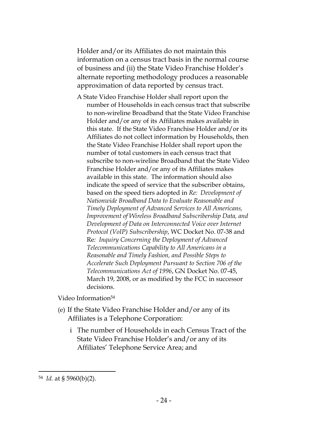Holder and/or its Affiliates do not maintain this information on a census tract basis in the normal course of business and (ii) the State Video Franchise Holder's alternate reporting methodology produces a reasonable approximation of data reported by census tract.

A State Video Franchise Holder shall report upon the number of Households in each census tract that subscribe to non-wireline Broadband that the State Video Franchise Holder and/or any of its Affiliates makes available in this state. If the State Video Franchise Holder and/or its Affiliates do not collect information by Households, then the State Video Franchise Holder shall report upon the number of total customers in each census tract that subscribe to non-wireline Broadband that the State Video Franchise Holder and/or any of its Affiliates makes available in this state. The information should also indicate the speed of service that the subscriber obtains, based on the speed tiers adopted in *Re: Development of Nationwide Broadband Data to Evaluate Reasonable and Timely Deployment of Advanced Services to All Americans, Improvement of Wireless Broadband Subscribership Data, and Development of Data on Interconnected Voice over Internet Protocol (VoIP) Subscribership*, WC Docket No. 07-38 and Re*: Inquiry Concerning the Deployment of Advanced Telecommunications Capability to All Americans in a Reasonable and Timely Fashion, and Possible Steps to Accelerate Such Deployment Pursuant to Section 706 of the Telecommunications Act of 1996*, GN Docket No. 07-45, March 19, 2008, or as modified by the FCC in successor decisions.

Video Information<sup>54</sup>

- (e) If the State Video Franchise Holder and/or any of its Affiliates is a Telephone Corporation:
	- i The number of Households in each Census Tract of the State Video Franchise Holder's and/or any of its Affiliates' Telephone Service Area; and

<sup>54</sup> *Id.* at § 5960(b)(2).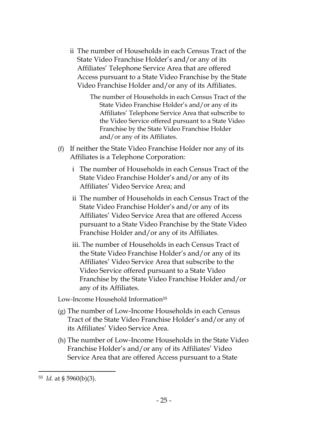ii The number of Households in each Census Tract of the State Video Franchise Holder's and/or any of its Affiliates' Telephone Service Area that are offered Access pursuant to a State Video Franchise by the State Video Franchise Holder and/or any of its Affiliates.

> The number of Households in each Census Tract of the State Video Franchise Holder's and/or any of its Affiliates' Telephone Service Area that subscribe to the Video Service offered pursuant to a State Video Franchise by the State Video Franchise Holder and/or any of its Affiliates.

- (f) If neither the State Video Franchise Holder nor any of its Affiliates is a Telephone Corporation:
	- i The number of Households in each Census Tract of the State Video Franchise Holder's and/or any of its Affiliates' Video Service Area; and
	- ii The number of Households in each Census Tract of the State Video Franchise Holder's and/or any of its Affiliates' Video Service Area that are offered Access pursuant to a State Video Franchise by the State Video Franchise Holder and/or any of its Affiliates.
	- iii. The number of Households in each Census Tract of the State Video Franchise Holder's and/or any of its Affiliates' Video Service Area that subscribe to the Video Service offered pursuant to a State Video Franchise by the State Video Franchise Holder and/or any of its Affiliates.

Low-Income Household Information<sup>55</sup>

- (g) The number of Low-Income Households in each Census Tract of the State Video Franchise Holder's and/or any of its Affiliates' Video Service Area.
- (h) The number of Low-Income Households in the State Video Franchise Holder's and/or any of its Affiliates' Video Service Area that are offered Access pursuant to a State

<sup>55</sup> *Id.* at § 5960(b)(3).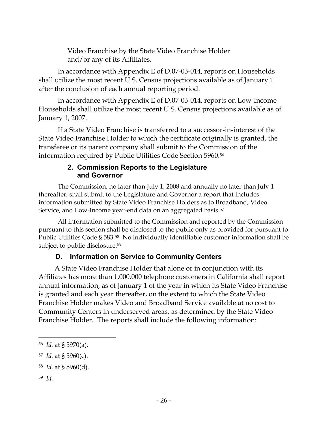Video Franchise by the State Video Franchise Holder and/or any of its Affiliates.

In accordance with Appendix E of D.07-03-014, reports on Households shall utilize the most recent U.S. Census projections available as of January 1 after the conclusion of each annual reporting period.

In accordance with Appendix E of D.07-03-014, reports on Low-Income Households shall utilize the most recent U.S. Census projections available as of January 1, 2007.

If a State Video Franchise is transferred to a successor-in-interest of the State Video Franchise Holder to which the certificate originally is granted, the transferee or its parent company shall submit to the Commission of the information required by Public Utilities Code Section 5960.<sup>56</sup>

#### **2. Commission Reports to the Legislature and Governor**

<span id="page-26-0"></span>The Commission, no later than July 1, 2008 and annually no later than July 1 thereafter, shall submit to the Legislature and Governor a report that includes information submitted by State Video Franchise Holders as to Broadband, Video Service, and Low-Income year-end data on an aggregated basis.<sup>57</sup>

All information submitted to the Commission and reported by the Commission pursuant to this section shall be disclosed to the public only as provided for pursuant to Public Utilities Code § 583.58 No individually identifiable customer information shall be subject to public disclosure.<sup>59</sup>

## **D. Information on Service to Community Centers**

<span id="page-26-1"></span>A State Video Franchise Holder that alone or in conjunction with its Affiliates has more than 1,000,000 telephone customers in California shall report annual information, as of January 1 of the year in which its State Video Franchise is granted and each year thereafter, on the extent to which the State Video Franchise Holder makes Video and Broadband Service available at no cost to Community Centers in underserved areas, as determined by the State Video Franchise Holder. The reports shall include the following information:

- <sup>57</sup> *Id.* at § 5960(c).
- <sup>58</sup> *Id.* at § 5960(d).
- 59 *Id.*

l

<sup>56</sup> *Id.* at § 5970(a).